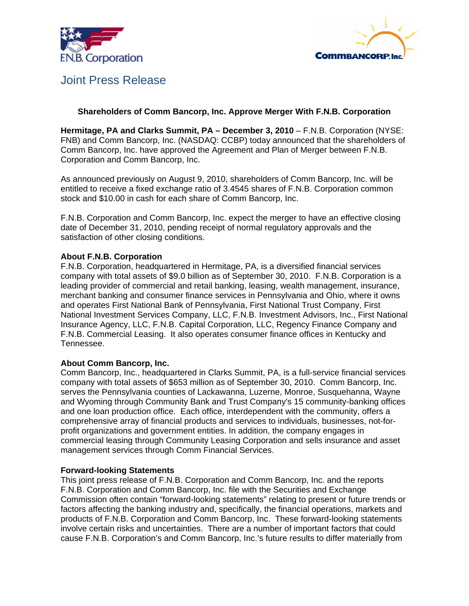



# Joint Press Release

## **Shareholders of Comm Bancorp, Inc. Approve Merger With F.N.B. Corporation**

**Hermitage, PA and Clarks Summit, PA – December 3, 2010** – F.N.B. Corporation (NYSE: FNB) and Comm Bancorp, Inc. (NASDAQ: CCBP) today announced that the shareholders of Comm Bancorp, Inc. have approved the Agreement and Plan of Merger between F.N.B. Corporation and Comm Bancorp, Inc.

As announced previously on August 9, 2010, shareholders of Comm Bancorp, Inc. will be entitled to receive a fixed exchange ratio of 3.4545 shares of F.N.B. Corporation common stock and \$10.00 in cash for each share of Comm Bancorp, Inc.

F.N.B. Corporation and Comm Bancorp, Inc. expect the merger to have an effective closing date of December 31, 2010, pending receipt of normal regulatory approvals and the satisfaction of other closing conditions.

### **About F.N.B. Corporation**

F.N.B. Corporation, headquartered in Hermitage, PA, is a diversified financial services company with total assets of \$9.0 billion as of September 30, 2010. F.N.B. Corporation is a leading provider of commercial and retail banking, leasing, wealth management, insurance, merchant banking and consumer finance services in Pennsylvania and Ohio, where it owns and operates First National Bank of Pennsylvania, First National Trust Company, First National Investment Services Company, LLC, F.N.B. Investment Advisors, Inc., First National Insurance Agency, LLC, F.N.B. Capital Corporation, LLC, Regency Finance Company and F.N.B. Commercial Leasing. It also operates consumer finance offices in Kentucky and Tennessee.

## **About Comm Bancorp, Inc.**

Comm Bancorp, Inc., headquartered in Clarks Summit, PA, is a full-service financial services company with total assets of \$653 million as of September 30, 2010. Comm Bancorp, Inc. serves the Pennsylvania counties of Lackawanna, Luzerne, Monroe, Susquehanna, Wayne and Wyoming through Community Bank and Trust Company's 15 community-banking offices and one loan production office. Each office, interdependent with the community, offers a comprehensive array of financial products and services to individuals, businesses, not-forprofit organizations and government entities. In addition, the company engages in commercial leasing through Community Leasing Corporation and sells insurance and asset management services through Comm Financial Services.

#### **Forward-looking Statements**

This joint press release of F.N.B. Corporation and Comm Bancorp, Inc. and the reports F.N.B. Corporation and Comm Bancorp, Inc. file with the Securities and Exchange Commission often contain "forward-looking statements" relating to present or future trends or factors affecting the banking industry and, specifically, the financial operations, markets and products of F.N.B. Corporation and Comm Bancorp, Inc. These forward-looking statements involve certain risks and uncertainties. There are a number of important factors that could cause F.N.B. Corporation's and Comm Bancorp, Inc.'s future results to differ materially from